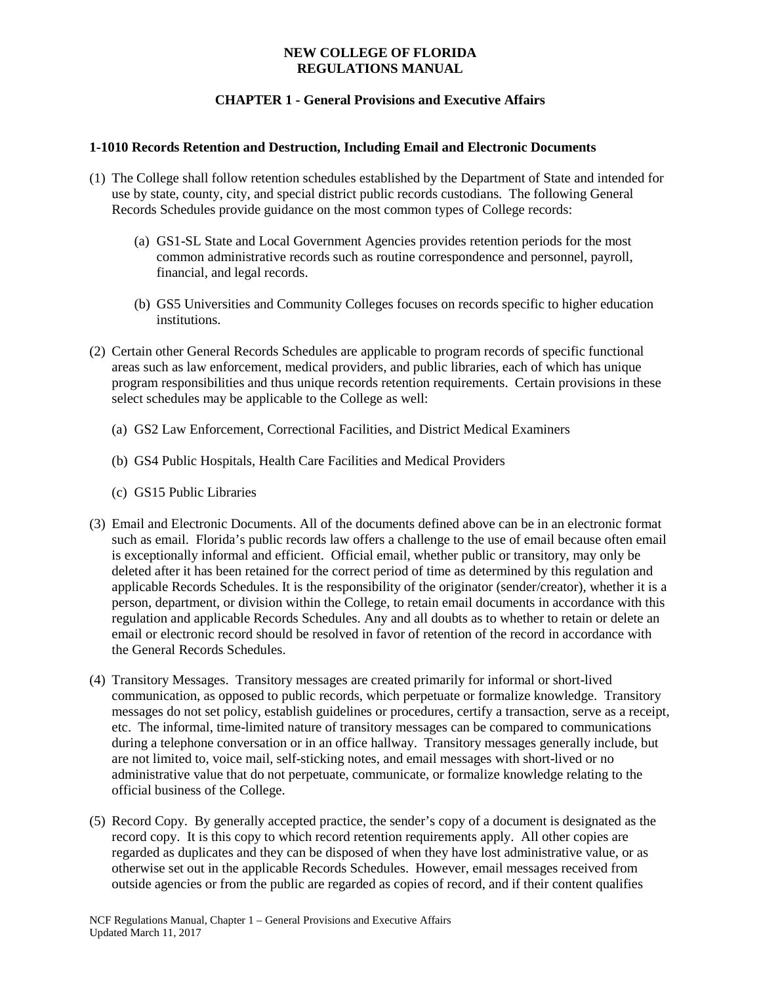## **NEW COLLEGE OF FLORIDA REGULATIONS MANUAL**

# **CHAPTER 1 - General Provisions and Executive Affairs**

## **1-1010 Records Retention and Destruction, Including Email and Electronic Documents**

- (1) The College shall follow retention schedules established by the Department of State and intended for use by state, county, city, and special district public records custodians. The following General Records Schedules provide guidance on the most common types of College records:
	- (a) GS1-SL State and Local Government Agencies provides retention periods for the most common administrative records such as routine correspondence and personnel, payroll, financial, and legal records.
	- (b) GS5 Universities and Community Colleges focuses on records specific to higher education institutions.
- (2) Certain other General Records Schedules are applicable to program records of specific functional areas such as law enforcement, medical providers, and public libraries, each of which has unique program responsibilities and thus unique records retention requirements. Certain provisions in these select schedules may be applicable to the College as well:
	- (a) GS2 Law Enforcement, Correctional Facilities, and District Medical Examiners
	- (b) GS4 Public Hospitals, Health Care Facilities and Medical Providers
	- (c) GS15 Public Libraries
- (3) Email and Electronic Documents. All of the documents defined above can be in an electronic format such as email. Florida's public records law offers a challenge to the use of email because often email is exceptionally informal and efficient. Official email, whether public or transitory, may only be deleted after it has been retained for the correct period of time as determined by this regulation and applicable Records Schedules. It is the responsibility of the originator (sender/creator), whether it is a person, department, or division within the College, to retain email documents in accordance with this regulation and applicable Records Schedules. Any and all doubts as to whether to retain or delete an email or electronic record should be resolved in favor of retention of the record in accordance with the General Records Schedules.
- (4) Transitory Messages. Transitory messages are created primarily for informal or short-lived communication, as opposed to public records, which perpetuate or formalize knowledge. Transitory messages do not set policy, establish guidelines or procedures, certify a transaction, serve as a receipt, etc. The informal, time-limited nature of transitory messages can be compared to communications during a telephone conversation or in an office hallway. Transitory messages generally include, but are not limited to, voice mail, self-sticking notes, and email messages with short-lived or no administrative value that do not perpetuate, communicate, or formalize knowledge relating to the official business of the College.
- (5) Record Copy. By generally accepted practice, the sender's copy of a document is designated as the record copy. It is this copy to which record retention requirements apply. All other copies are regarded as duplicates and they can be disposed of when they have lost administrative value, or as otherwise set out in the applicable Records Schedules. However, email messages received from outside agencies or from the public are regarded as copies of record, and if their content qualifies